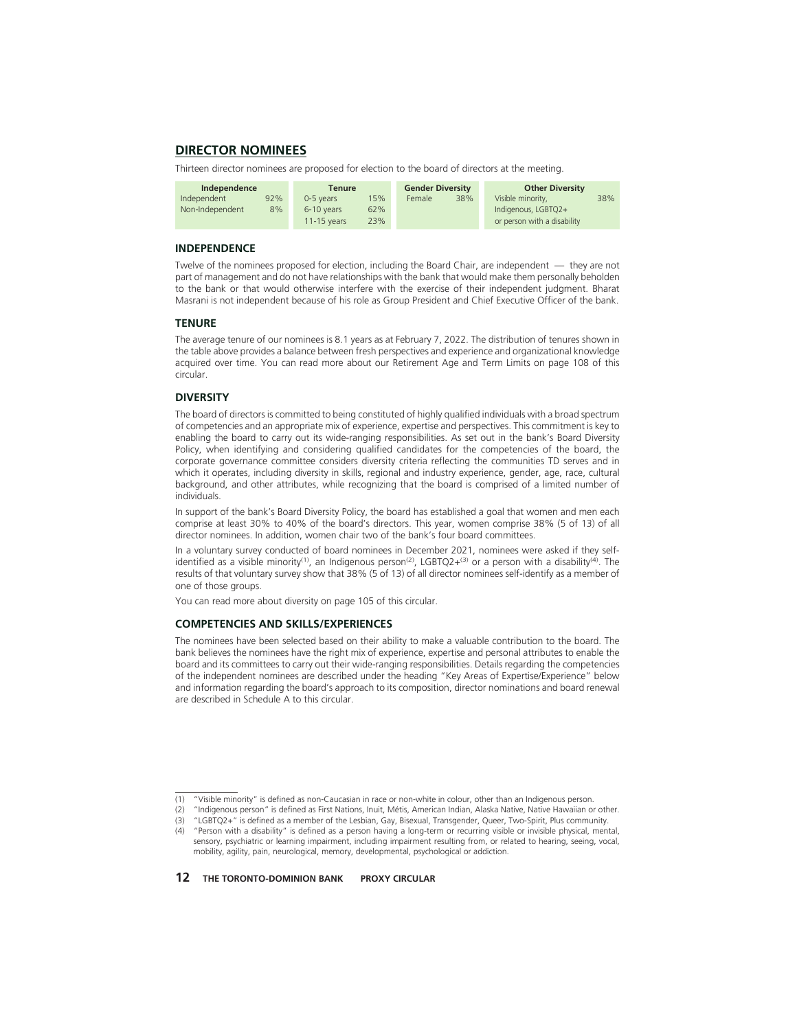# **DIRECTOR NOMINEES**

Thirteen director nominees are proposed for election to the board of directors at the meeting.

| Independence          |     | Tenure        |     | <b>Gender Diversity</b> |     | <b>Other Diversity</b>      |  |
|-----------------------|-----|---------------|-----|-------------------------|-----|-----------------------------|--|
| Independent           | 92% | 0-5 years     | 15% | Female                  | 38% | Visible minority,           |  |
| 8%<br>Non-Independent |     | 6-10 years    | 62% |                         |     | Indigenous, LGBTQ2+         |  |
|                       |     | $11-15$ vears | 23% |                         |     | or person with a disability |  |

38%

### **INDEPENDENCE**

Twelve of the nominees proposed for election, including the Board Chair, are independent — they are not part of management and do not have relationships with the bank that would make them personally beholden to the bank or that would otherwise interfere with the exercise of their independent judgment. Bharat Masrani is not independent because of his role as Group President and Chief Executive Officer of the bank.

### **TENURE**

The average tenure of our nominees is 8.1 years as at February 7, 2022. The distribution of tenures shown in the table above provides a balance between fresh perspectives and experience and organizational knowledge acquired over time. You can read more about our Retirement Age and Term Limits on page 108 of this circular.

# **DIVERSITY**

The board of directors is committed to being constituted of highly qualified individuals with a broad spectrum of competencies and an appropriate mix of experience, expertise and perspectives. This commitment is key to enabling the board to carry out its wide-ranging responsibilities. As set out in the bank's Board Diversity Policy, when identifying and considering qualified candidates for the competencies of the board, the corporate governance committee considers diversity criteria reflecting the communities TD serves and in which it operates, including diversity in skills, regional and industry experience, gender, age, race, cultural background, and other attributes, while recognizing that the board is comprised of a limited number of individuals.

In support of the bank's Board Diversity Policy, the board has established a goal that women and men each comprise at least 30% to 40% of the board's directors. This year, women comprise 38% (5 of 13) of all director nominees. In addition, women chair two of the bank's four board committees.

In a voluntary survey conducted of board nominees in December 2021, nominees were asked if they selfidentified as a visible minority<sup>(1)</sup>, an Indigenous person<sup>(2)</sup>, LGBTQ2+<sup>(3)</sup> or a person with a disability<sup>(4)</sup>. The results of that voluntary survey show that 38% (5 of 13) of all director nominees self-identify as a member of one of those groups.

You can read more about diversity on page 105 of this circular.

# **COMPETENCIES AND SKILLS/EXPERIENCES**

The nominees have been selected based on their ability to make a valuable contribution to the board. The bank believes the nominees have the right mix of experience, expertise and personal attributes to enable the board and its committees to carry out their wide-ranging responsibilities. Details regarding the competencies of the independent nominees are described under the heading "Key Areas of Expertise/Experience" below and information regarding the board's approach to its composition, director nominations and board renewal are described in Schedule A to this circular.

<sup>(1) &</sup>quot;Visible minority" is defined as non-Caucasian in race or non-white in colour, other than an Indigenous person.

<sup>(2) &</sup>quot;Indigenous person" is defined as First Nations, Inuit, Métis, American Indian, Alaska Native, Native Hawaiian or other.

<sup>(3) &</sup>quot;LGBTQ2+" is defined as a member of the Lesbian, Gay, Bisexual, Transgender, Queer, Two-Spirit, Plus community.

<sup>(4) &</sup>quot;Person with a disability" is defined as a person having a long-term or recurring visible or invisible physical, mental, sensory, psychiatric or learning impairment, including impairment resulting from, or related to hearing, seeing, vocal, mobility, agility, pain, neurological, memory, developmental, psychological or addiction.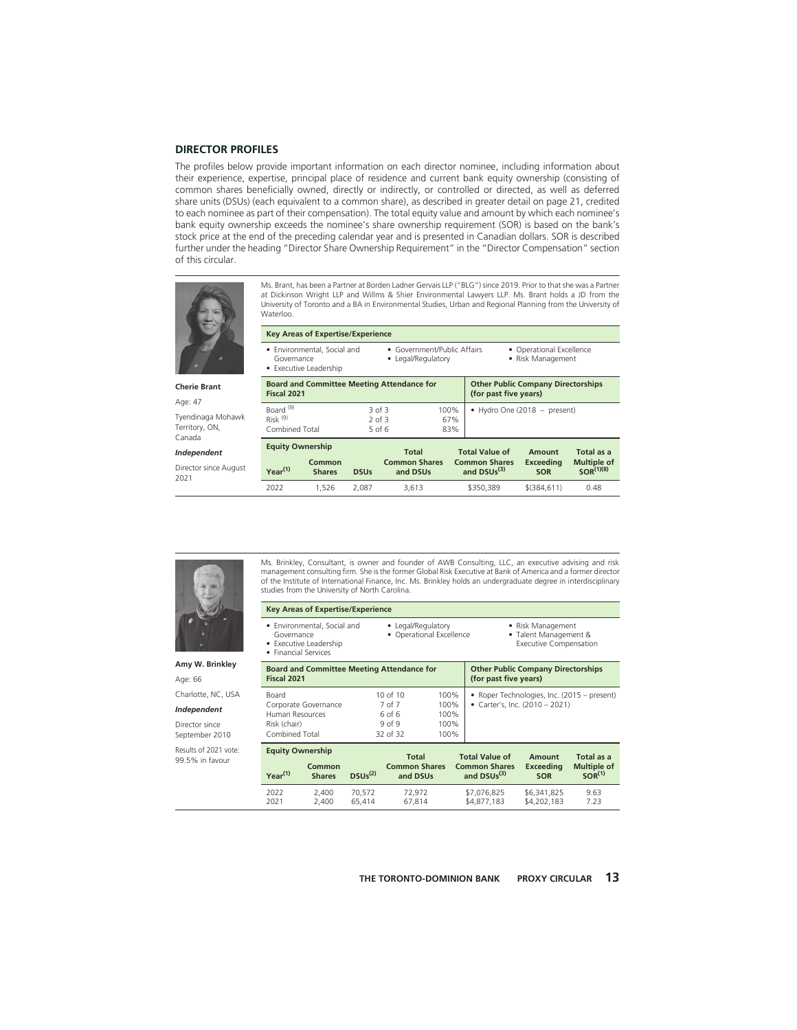### **DIRECTOR PROFILES**

The profiles below provide important information on each director nominee, including information about their experience, expertise, principal place of residence and current bank equity ownership (consisting of common shares beneficially owned, directly or indirectly, or controlled or directed, as well as deferred share units (DSUs) (each equivalent to a common share), as described in greater detail on page 21, credited to each nominee as part of their compensation). The total equity value and amount by which each nominee's bank equity ownership exceeds the nominee's share ownership requirement (SOR) is based on the bank's stock price at the end of the preceding calendar year and is presented in Canadian dollars. SOR is described further under the heading "Director Share Ownership Requirement" in the "Director Compensation" section of this circular.



Ms. Brant, has been a Partner at Borden Ladner Gervais LLP ("BLG") since 2019. Prior to that she was a Partner at Dickinson Wright LLP and Willms & Shier Environmental Lawyers LLP. Ms. Brant holds a JD from the University of Toronto and a BA in Environmental Studies, Urban and Regional Planning from the University of Waterloo.

|                                               | <b>Key Areas of Expertise/Experience</b>                                                                                                                                  |                         |             |                                                   |                    |                                                                    |                                   |                                                    |
|-----------------------------------------------|---------------------------------------------------------------------------------------------------------------------------------------------------------------------------|-------------------------|-------------|---------------------------------------------------|--------------------|--------------------------------------------------------------------|-----------------------------------|----------------------------------------------------|
|                                               | • Government/Public Affairs<br>• Environmental, Social and<br>• Operational Excellence<br>• Risk Management<br>• Legal/Regulatory<br>Governance<br>• Executive Leadership |                         |             |                                                   |                    |                                                                    |                                   |                                                    |
| <b>Cherie Brant</b><br>Age: 47                | Fiscal 2021                                                                                                                                                               |                         |             | <b>Board and Committee Meeting Attendance for</b> |                    | <b>Other Public Company Directorships</b><br>(for past five years) |                                   |                                                    |
| Tyendinaga Mohawk<br>Territory, ON,<br>Canada | Board <sup>(9)</sup><br>Risk <sup>(9)</sup><br>Combined Total                                                                                                             |                         | $2$ of $3$  | 3 of 3<br>$5$ of $6$                              | 100%<br>67%<br>83% | • Hydro One (2018 - present)                                       |                                   |                                                    |
| Independent<br>Director since August<br>2021  | <b>Equity Ownership</b><br>Year <sup>(1)</sup>                                                                                                                            | Common<br><b>Shares</b> | <b>DSUs</b> | Total<br><b>Common Shares</b><br>and DSUs         |                    | <b>Total Value of</b><br><b>Common Shares</b><br>and $DSUs(3)$     | Amount<br>Exceeding<br><b>SOR</b> | Total as a<br><b>Multiple of</b><br>$SOR^{(1)(8)}$ |
|                                               | 2022                                                                                                                                                                      | 1.526                   | 2.087       | 3.613                                             |                    | \$350.389                                                          | $$$ (384.611)                     | 0.48                                               |



**Amy W. Brinkley**

Age: 66 Charlotte, NC, USA

*Independent*

Director since September 2010

Results of 2021 vote: 99.5% in favour

Ms. Brinkley, Consultant, is owner and founder of AWB Consulting, LLC, an executive advising and risk management consulting firm. She is the former Global Risk Executive at Bank of America and a former director of the Institute of International Finance, Inc. Ms. Brinkley holds an undergraduate degree in interdisciplinary studies from the University of North Carolina.

#### **Key Areas of Expertise/Experience**

- Environmental, Social and Governance
- Legal/Regulatory • Operational Excellence
- Risk Management
	- Executive Compensation
- Executive Leadership • Financial Services
- 

| $\bullet$ | Talent Management &   |  |
|-----------|-----------------------|--|
|           | Evecutive Compensatio |  |

| <b>Board and Committee Meeting Attendance for</b><br>Fiscal 2021                   |                                                               | <b>Other Public Company Directorships</b><br>(for past five years) |                                                                               |  |
|------------------------------------------------------------------------------------|---------------------------------------------------------------|--------------------------------------------------------------------|-------------------------------------------------------------------------------|--|
| Board<br>Corporate Governance<br>Human Resources<br>Risk (chair)<br>Combined Total | 10 of 10<br>7 of 7<br>6 of 6<br>9 <sub>of</sub> 9<br>32 of 32 | 100%<br>100%<br>100%<br>100%<br>100%                               | • Roper Technologies, Inc. (2015 - present)<br>• Carter's, Inc. (2010 - 2021) |  |

| <b>Equity Ownership</b> |                         |                  | Total                            | <b>Total Value of</b>                 | Amount                     | Total as a                               |
|-------------------------|-------------------------|------------------|----------------------------------|---------------------------------------|----------------------------|------------------------------------------|
| Year <sup>(1)</sup>     | Common<br><b>Shares</b> | $DSUs^{(2)}$     | <b>Common Shares</b><br>and DSUs | <b>Common Shares</b><br>and $DSUs(3)$ | Exceeding<br><b>SOR</b>    | <b>Multiple of</b><br>SOR <sup>(1)</sup> |
| 2022<br>2021            | 2.400<br>2.400          | 70.572<br>65.414 | 72.972<br>67.814                 | \$7.076.825<br>\$4,877,183            | \$6.341.825<br>\$4,202,183 | 9.63<br>7.23                             |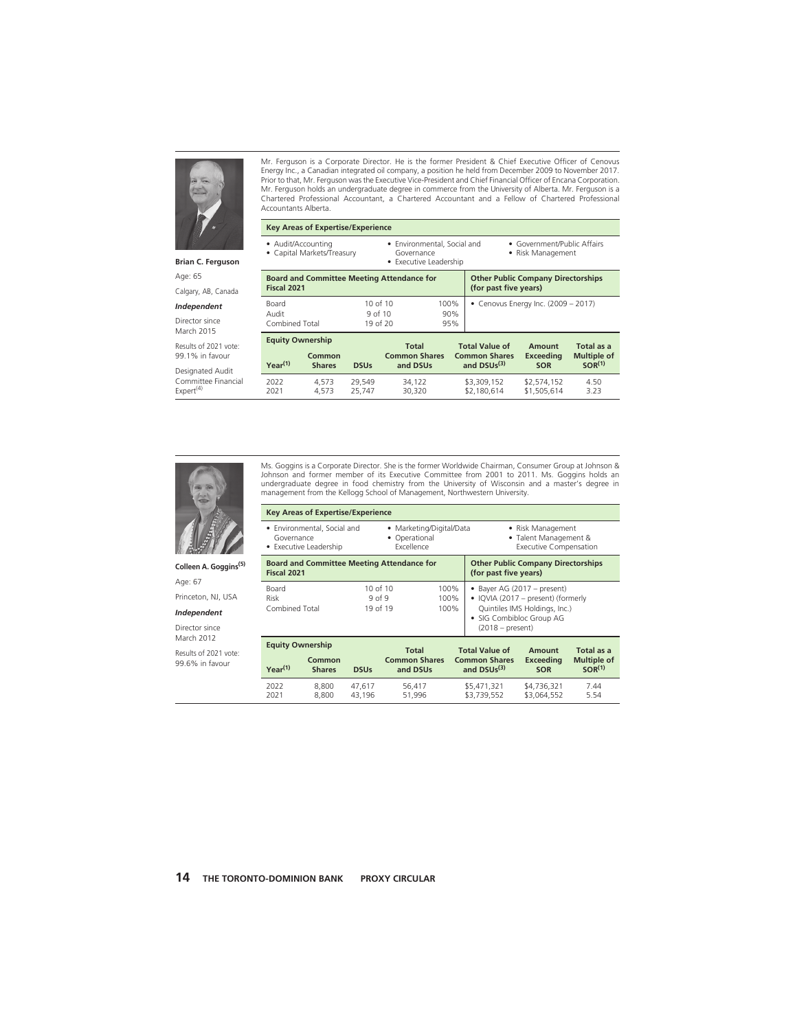

#### **Brian C. Ferguson**

Age: 65

Calgary, AB, Canada

### *Independent*

Director since March 2015

Results of 2021 vote: 99.1% in favour

Designated Audit Committee Financial  $Expert<sup>(4)</sup>$ 

Mr. Ferguson is a Corporate Director. He is the former President & Chief Executive Officer of Cenovus Energy Inc., a Canadian integrated oil company, a position he held from December 2009 to November 2017. Prior to that, Mr. Ferguson was the Executive Vice-President and Chief Financial Officer of Encana Corporation. Mr. Ferguson holds an undergraduate degree in commerce from the University of Alberta. Mr. Ferguson is a Chartered Professional Accountant, a Chartered Accountant and a Fellow of Chartered Professional Accountants Alberta.

### **Key Areas of Expertise/Experience**

• Audit/Accounting

• Capital Markets/Treasury

• Environmental, Social and Governance • Executive Leadership

• Government/Public Affairs

• Risk Management

| Fiscal 2021                       |                |                                                | <b>Board and Committee Meeting Attendance for</b> |                                               | <b>Other Public Company Directorships</b><br>(for past five years) |                                                        |              |  |  |  |
|-----------------------------------|----------------|------------------------------------------------|---------------------------------------------------|-----------------------------------------------|--------------------------------------------------------------------|--------------------------------------------------------|--------------|--|--|--|
| Board<br>Audit<br>Combined Total  |                | 10 of 10<br>9 <sub>of</sub> 10<br>$19$ of $20$ |                                                   | 100%<br>90%<br>95%                            | • Cenovus Energy Inc. $(2009 - 2017)$                              |                                                        |              |  |  |  |
| <b>Equity Ownership</b><br>Common |                | <b>Total</b><br><b>Common Shares</b>           |                                                   | <b>Total Value of</b><br><b>Common Shares</b> | Amount<br>Exceeding                                                | Total as a<br><b>Multiple of</b><br>SOR <sup>(1)</sup> |              |  |  |  |
| $Year^{(1)}$                      | <b>Shares</b>  | <b>DSUs</b>                                    | and DSUs                                          |                                               | and DSU <sub>s</sub> <sup>(3)</sup>                                | <b>SOR</b>                                             |              |  |  |  |
| 2022<br>2021                      | 4.573<br>4.573 | 29.549<br>25.747                               | 34.122<br>30.320                                  |                                               | \$3,309,152<br>\$2,180,614                                         | \$2,574,152<br>\$1,505.614                             | 4.50<br>3.23 |  |  |  |



Age: 67 Princeton, NJ, USA *Independent* Director since March 2012 Results of 2021 vote: 99.6% in favour

Ms. Goggins is a Corporate Director. She is the former Worldwide Chairman, Consumer Group at Johnson & Johnson and former member of its Executive Committee from 2001 to 2011. Ms. Goggins holds an undergraduate degree in food chemistry from the University of Wisconsin and a master's degree in management from the Kellogg School of Management, Northwestern University.

|                                                                                                                         | <b>Key Areas of Expertise/Experience</b>              |                  |                                                       |  |                                                                               |                                                                     |                                                        |  |  |
|-------------------------------------------------------------------------------------------------------------------------|-------------------------------------------------------|------------------|-------------------------------------------------------|--|-------------------------------------------------------------------------------|---------------------------------------------------------------------|--------------------------------------------------------|--|--|
| Governance                                                                                                              | • Environmental, Social and<br>• Executive Leadership |                  | · Marketing/Digital/Data<br>Operational<br>Excellence |  | • Risk Management<br>· Talent Management &<br><b>Executive Compensation</b>   |                                                                     |                                                        |  |  |
| Fiscal 2021                                                                                                             |                                                       |                  | <b>Board and Committee Meeting Attendance for</b>     |  | <b>Other Public Company Directorships</b><br>(for past five years)            |                                                                     |                                                        |  |  |
| 10 of 10<br>Board<br>100%<br><b>Risk</b><br>9 <sub>0</sub> f <sub>9</sub><br>100%<br>Combined Total<br>19 of 19<br>100% |                                                       |                  |                                                       |  | • Bayer AG (2017 - present)<br>· SIG Combibloc Group AG<br>$(2018 - present)$ | • IQVIA (2017 – present) (formerly<br>Quintiles IMS Holdings, Inc.) |                                                        |  |  |
| <b>Equity Ownership</b><br>Year <sup>(1)</sup>                                                                          | Common<br><b>Shares</b>                               | <b>DSUs</b>      | <b>Total</b><br><b>Common Shares</b><br>and DSUs      |  | <b>Total Value of</b><br><b>Common Shares</b><br>and $DSUs(3)$                | Amount<br><b>Exceeding</b><br><b>SOR</b>                            | Total as a<br><b>Multiple of</b><br>SOR <sup>(1)</sup> |  |  |
| 2022<br>2021                                                                                                            | 8.800<br>8.800                                        | 47.617<br>43,196 | 56,417<br>51,996                                      |  | \$5,471,321<br>\$3,739,552                                                    | \$4,736,321<br>\$3,064,552                                          | 7.44<br>5.54                                           |  |  |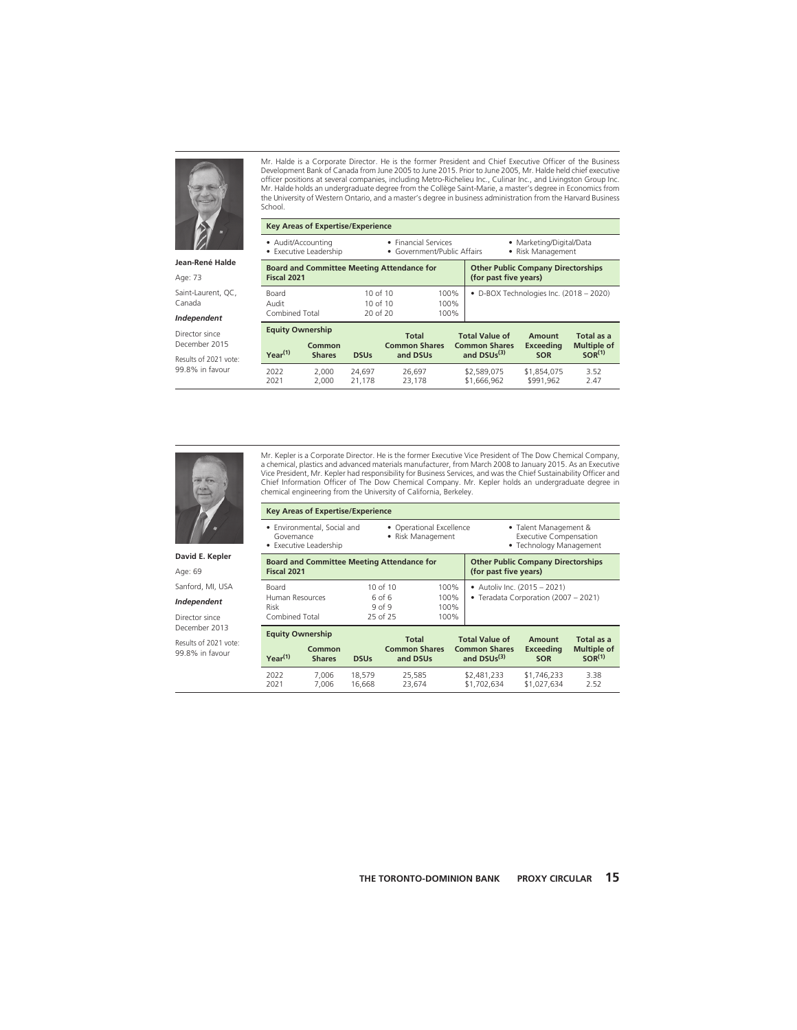

**Jean-René Halde**

Age: 73

Saint-Laurent, QC, Canada

#### *Independent*

Director since December 2015

Results of 2021 vote: 99.8% in favour

Mr. Halde is a Corporate Director. He is the former President and Chief Executive Officer of the Business Development Bank of Canada from June 2005 to June 2015. Prior to June 2005, Mr. Halde held chief executive officer positions at several companies, including Metro-Richelieu Inc., Culinar Inc., and Livingston Group Inc. Mr. Halde holds an undergraduate degree from the Collège Saint-Marie, a master's degree in Economics from the University of Western Ontario, and a master's degree in business administration from the Harvard Business School.

|                                                                           | <b>Key Areas of Expertise/Experience</b>          |                  |                                                                    |                      |                                                                |                                   |                                                        |  |
|---------------------------------------------------------------------------|---------------------------------------------------|------------------|--------------------------------------------------------------------|----------------------|----------------------------------------------------------------|-----------------------------------|--------------------------------------------------------|--|
|                                                                           | • Audit/Accounting<br>• Executive Leadership      |                  | • Financial Services<br>• Government/Public Affairs                |                      | • Marketing/Digital/Data<br>• Risk Management                  |                                   |                                                        |  |
| Fiscal 2021                                                               | <b>Board and Committee Meeting Attendance for</b> |                  | <b>Other Public Company Directorships</b><br>(for past five years) |                      |                                                                |                                   |                                                        |  |
| Board<br>Audit<br>Combined Total                                          |                                                   |                  | 10 of 10<br>10 of $10$<br>20 of 20                                 | 100%<br>100%<br>100% | • D-BOX Technologies Inc. (2018 - 2020)                        |                                   |                                                        |  |
| <b>Equity Ownership</b><br>Common<br>Year <sup>(1)</sup><br><b>Shares</b> |                                                   | <b>DSUs</b>      | <b>Total</b><br><b>Common Shares</b><br>and DSUs                   |                      | <b>Total Value of</b><br><b>Common Shares</b><br>and $DSUs(3)$ | Amount<br>Exceeding<br><b>SOR</b> | Total as a<br><b>Multiple of</b><br>SOR <sup>(1)</sup> |  |
| 2022<br>2021                                                              | 2.000<br>2.000                                    | 24.697<br>21.178 | 26.697<br>23.178                                                   |                      | \$2,589,075<br>\$1,666,962                                     | \$1.854.075<br>\$991.962          | 3.52<br>2.47                                           |  |



99.8% in favour

Mr. Kepler is a Corporate Director. He is the former Executive Vice President of The Dow Chemical Company, a chemical, plastics and advanced materials manufacturer, from March 2008 to January 2015. As an Executive Vice President, Mr. Kepler had responsibility for Business Services, and was the Chief Sustainability Officer and Chief Information Officer of The Dow Chemical Company. Mr. Kepler holds an undergraduate degree in chemical engineering from the University of California, Berkeley.

|                       | • Environmental, Social and<br>Govemance<br>• Executive Leadership |                                           | • Operational Excellence<br>• Risk Management |                                        | • Talent Management &<br><b>Executive Compensation</b><br>• Technology Management |                 |
|-----------------------|--------------------------------------------------------------------|-------------------------------------------|-----------------------------------------------|----------------------------------------|-----------------------------------------------------------------------------------|-----------------|
| David E. Kepler       | <b>Board and Committee Meeting Attendance for</b>                  | <b>Other Public Company Directorships</b> |                                               |                                        |                                                                                   |                 |
| Age: 69               | Fiscal 2021                                                        |                                           |                                               | (for past five years)                  |                                                                                   |                 |
| Sanford, MI, USA      | Board                                                              | 10 of $10$                                | 100%                                          |                                        | • Autoliv Inc. (2015 - 2021)                                                      |                 |
| Independent           | Human Resources<br>Risk                                            | 6 of 6<br>9 <sub>of</sub> 9               | 100%<br>100%                                  |                                        | • Teradata Corporation (2007 - 2021)                                              |                 |
| Director since        | Combined Total                                                     | 25 of 25                                  | 100%                                          |                                        |                                                                                   |                 |
| December 2013         | <b>Equity Ownership</b>                                            |                                           |                                               |                                        |                                                                                   |                 |
| Results of 2021 vote: | Common                                                             | <b>Total</b><br>Common Charge             |                                               | <b>Total Value of</b><br>Common Charge | Amount<br>Evropding                                                               | Total as a<br>M |

**Key Areas of Expertise/Experience**

| <b>EQUILY OWNERSHIP</b>                                       |                |                                  | <b>Total</b>                          | <b>Total Value of</b>      | Amount                                   | Total as a   |
|---------------------------------------------------------------|----------------|----------------------------------|---------------------------------------|----------------------------|------------------------------------------|--------------|
| Common<br>Year <sup>(1)</sup><br><b>Shares</b><br><b>DSUs</b> |                | <b>Common Shares</b><br>and DSUs | <b>Common Shares</b><br>and $DSUs(3)$ | Exceeding<br><b>SOR</b>    | <b>Multiple of</b><br>SOR <sup>(1)</sup> |              |
| 2022<br>2021                                                  | 7.006<br>7.006 | 18.579<br>16.668                 | 25.585<br>23.674                      | \$2,481,233<br>\$1,702,634 | \$1,746,233<br>\$1,027,634               | 3.38<br>2.52 |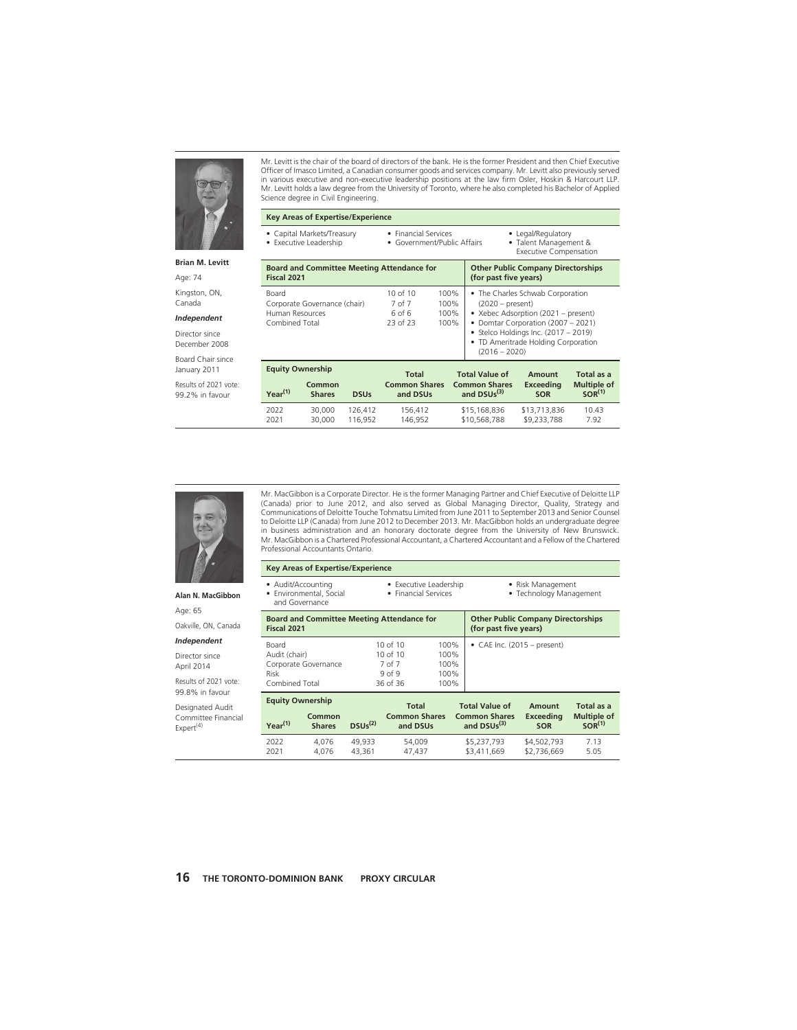

**Brian M. Levitt**

Age: 74

Kingston, ON, Canada

#### *Independent*

Director since December 2008

Board Chair since January 2011

Results of 2021 vote: 99.2% in favour

Mr. Levitt is the chair of the board of directors of the bank. He is the former President and then Chief Executive Officer of Imasco Limited, a Canadian consumer goods and services company. Mr. Levitt also previously served in various executive and non-executive leadership positions at the law firm Osler, Hoskin & Harcourt LLP. Mr. Levitt holds a law degree from the University of Toronto, where he also completed his Bachelor of Applied Science degree in Civil Engineering.

**Key Areas of Expertise/Experience**

- Capital Markets/Treasury • Executive Leadership
- Financial Services • Government/Public Affairs

• Legal/Regulatory • Talent Management &

Executive Compensation

| <b>Board and Committee Meeting Attendance for</b><br>Fiscal 2021           | <b>Other Public Company Directorships</b><br>(for past five years) |                              |                                                                                                                                                                                                                                         |
|----------------------------------------------------------------------------|--------------------------------------------------------------------|------------------------------|-----------------------------------------------------------------------------------------------------------------------------------------------------------------------------------------------------------------------------------------|
| Board<br>Corporate Governance (chair)<br>Human Resources<br>Combined Total | 10 of 10<br>7 of 7<br>6 <sub>of</sub> 6<br>23 of 23                | 100%<br>100%<br>100%<br>100% | • The Charles Schwab Corporation<br>$(2020 - present)$<br>• Xebec Adsorption (2021 - present)<br>• Domtar Corporation (2007 - 2021)<br>• Stelco Holdings Inc. $(2017 - 2019)$<br>• TD Ameritrade Holding Corporation<br>$(2016 - 2020)$ |
| <b>Equity Ownership</b>                                                    | $T - 4 - 1$                                                        |                              | $T = 4 - 1$ Malue of<br>$T = 4 - 1 = 2$<br>$A_{\text{max}}$ and $A$                                                                                                                                                                     |

| <b>EQUILY OWNERSHIP</b> |                                        |                    | Total                            | <b>Total Value of</b>                 | Amount                      | Total as a                               |  |
|-------------------------|----------------------------------------|--------------------|----------------------------------|---------------------------------------|-----------------------------|------------------------------------------|--|
| Year <sup>(1)</sup>     | Common<br><b>DSUs</b><br><b>Shares</b> |                    | <b>Common Shares</b><br>and DSUs | <b>Common Shares</b><br>and $DSUs(3)$ | Exceeding<br><b>SOR</b>     | <b>Multiple of</b><br>SOR <sup>(1)</sup> |  |
| 2022<br>2021            | 30,000<br>30,000                       | 126.412<br>116.952 | 156.412<br>146.952               | \$15,168,836<br>\$10,568,788          | \$13,713,836<br>\$9,233,788 | 10.43<br>7.92                            |  |



**Alan N. MacGibbon** Age: 65 Oakville, ON, Canada *Independent* Director since April 2014

Mr. MacGibbon is a Corporate Director. He is the former Managing Partner and Chief Executive of Deloitte LLP (Canada) prior to June 2012, and also served as Global Managing Director, Quality, Strategy and Communications of Deloitte Touche Tohmatsu Limited from June 2011 to September 2013 and Senior Counsel to Deloitte LLP (Canada) from June 2012 to December 2013. Mr. MacGibbon holds an undergraduate degree in business administration and an honorary doctorate degree from the University of New Brunswick. Mr. MacGibbon is a Chartered Professional Accountant, a Chartered Accountant and a Fellow of the Chartered Professional Accountants Ontario.

| <b>Key Areas of Expertise/Experience</b>                        |                                                                        |                                                                    |                               |  |
|-----------------------------------------------------------------|------------------------------------------------------------------------|--------------------------------------------------------------------|-------------------------------|--|
| • Audit/Accounting<br>· Environmental, Social<br>and Governance | • Executive Leadership<br>• Risk Management<br>• Technology Management |                                                                    |                               |  |
| <b>Board and Committee Meeting Attendance for</b>               |                                                                        | <b>Other Public Company Directorships</b><br>(for past five years) |                               |  |
| Fiscal 2021                                                     |                                                                        |                                                                    |                               |  |
| Board                                                           | $10$ of $10$                                                           | 100%                                                               | • CAE Inc. $(2015 - present)$ |  |
| Audit (chair)                                                   | $10$ of $10$                                                           | 100%                                                               |                               |  |
| Corporate Governance                                            | 7 of 7                                                                 | 100%                                                               |                               |  |
| Risk                                                            | 9 <sub>0</sub> f <sub>9</sub>                                          | 100%                                                               |                               |  |
| Combined Total                                                  | 36 of 36                                                               | 100%                                                               |                               |  |

Results of 2021 vote: 99.8% in favour

Designated Audit Committee Financial  $Expert<sup>(4)</sup>$ 

**Equity Ownership Common**

| $= 9.44$            |                                         | <b>Total</b> | <b>Total Value of</b>            | Amount                                | Total as a              |                                          |  |
|---------------------|-----------------------------------------|--------------|----------------------------------|---------------------------------------|-------------------------|------------------------------------------|--|
| Year <sup>(1)</sup> | Common<br>$DSUs^{(2)}$<br><b>Shares</b> |              | <b>Common Shares</b><br>and DSUs | <b>Common Shares</b><br>and $DSUs(3)$ | Exceeding<br><b>SOR</b> | <b>Multiple of</b><br>SOR <sup>(1)</sup> |  |
| 2022                | 4.076                                   | 49.933       | 54.009                           | \$5,237,793                           | \$4,502,793             | 7.13                                     |  |
| 2021                | 4.076                                   | 43.361       | 47.437                           | \$3,411,669                           | \$2,736,669             | 5.05                                     |  |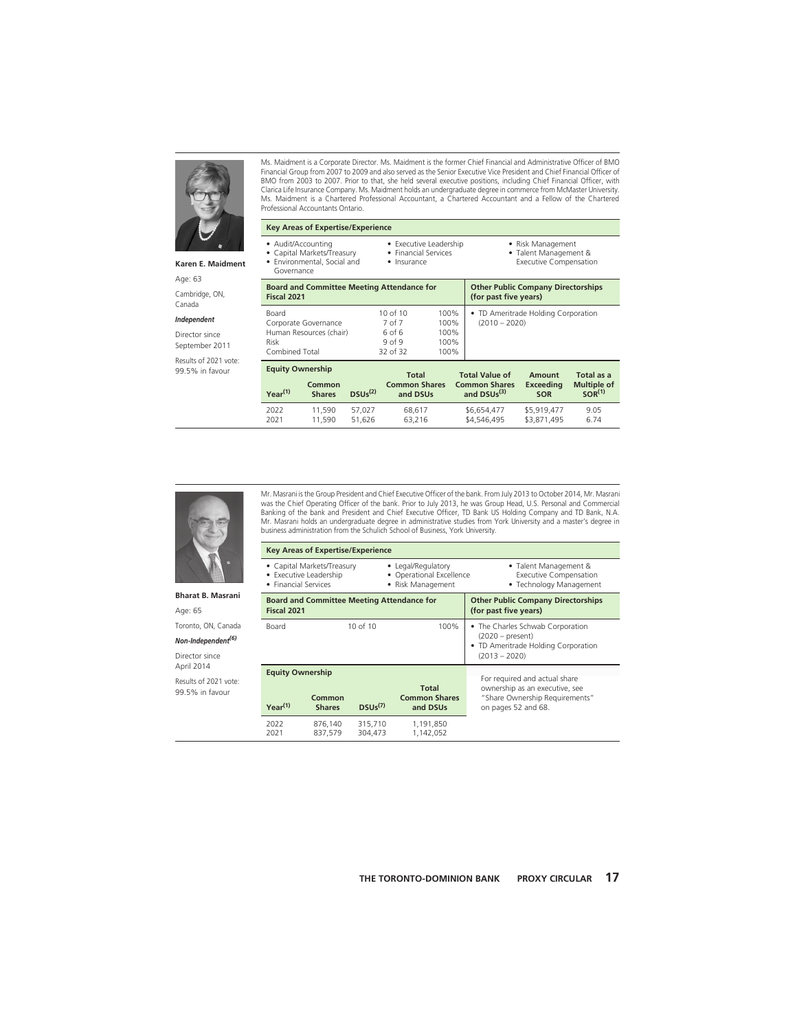

Ms. Maidment is a Corporate Director. Ms. Maidment is the former Chief Financial and Administrative Officer of BMO Financial Group from 2007 to 2009 and also served as the Senior Executive Vice President and Chief Financial Officer of BMO from 2003 to 2007. Prior to that, she held several executive positions, including Chief Financial Officer, with Clarica Life Insurance Company. Ms. Maidment holds an undergraduate degree in commerce from McMaster University. Ms. Maidment is a Chartered Professional Accountant, a Chartered Accountant and a Fellow of the Chartered Professional Accountants Ontario.

### **Karen E. Maidment**

Age: 63

Cambridge, ON, Canada

### *Independent*

Director since September 2011

Results of 2021 vote: 99.5% in favour

|  | <b>Key Areas of Expertise/Experience</b> |
|--|------------------------------------------|
|  |                                          |

- 
- Audit/Accounting<br>• Capital Markets/Tr • Capital Markets/Treasury
- Environmental, Social and
- Financial Services
- Governance
- Insurance

• Executive Leadership

- Risk Management
- Talent Management &
- Executive Compensation

| Fiscal 2021                                                                        | <b>Board and Committee Meeting Attendance for</b>                                        | <b>Other Public Company Directorships</b><br>(for past five years) |                                                                |                                   |                                                        |
|------------------------------------------------------------------------------------|------------------------------------------------------------------------------------------|--------------------------------------------------------------------|----------------------------------------------------------------|-----------------------------------|--------------------------------------------------------|
| Board<br>Corporate Governance<br>Human Resources (chair)<br>Risk<br>Combined Total | $10$ of $10$<br>7 of 7<br>6 <sub>of</sub> 6<br>9 <sub>0</sub> f <sub>9</sub><br>32 of 32 | 100%<br>100%<br>100%<br>100%<br>100%                               | • TD Ameritrade Holding Corporation<br>$(2010 - 2020)$         |                                   |                                                        |
| <b>Equity Ownership</b><br>Common<br>Year <sup>(1)</sup><br><b>Shares</b>          | <b>Total</b><br><b>Common Shares</b><br>DSUs <sup>(2)</sup><br>and DSUs                  |                                                                    | <b>Total Value of</b><br><b>Common Shares</b><br>and $DSUs(3)$ | Amount<br>Exceeding<br><b>SOR</b> | Total as a<br><b>Multiple of</b><br>SOR <sup>(1)</sup> |

2022 11,590 57,027 68,617 \$6,654,477 \$5,919,477 9.05 2021 11,590 51,626 63,216 \$4,546,495 \$3,871,495 6.74



**Bharat B. Masrani** Age: 65 Toronto, ON, Canada *Non-Independent(6)* Director since April 2014 Results of 2021 vote: 99.5% in favour

was the Chief Operating Officer of the bank. Prior to July 2013, he was Group Head, U.S. Personal and Commercial Banking of the bank and President and Chief Executive Officer, TD Bank US Holding Company and TD Bank, N.A. Mr. Masrani holds an undergraduate degree in administrative studies from York University and a master's degree in business administration from the Schulich School of Business, York University. **Key Areas of Expertise/Experience**

Mr. Masrani is the Group President and Chief Executive Officer of the bank. From July 2013 to October 2014, Mr. Masrani

| • Executive Leadership<br>• Financial Services  | • Capital Markets/Treasury                        | • Legal/Regulatory<br>• Operational Excellence<br>• Risk Management | • Talent Management &<br><b>Executive Compensation</b><br>• Technology Management                                |                                                                                                                          |  |  |
|-------------------------------------------------|---------------------------------------------------|---------------------------------------------------------------------|------------------------------------------------------------------------------------------------------------------|--------------------------------------------------------------------------------------------------------------------------|--|--|
| Fiscal 2021                                     | <b>Board and Committee Meeting Attendance for</b> |                                                                     | <b>Other Public Company Directorships</b><br>(for past five years)                                               |                                                                                                                          |  |  |
| Board                                           |                                                   | 10 of $10$                                                          | • The Charles Schwab Corporation<br>$(2020 - present)$<br>• TD Ameritrade Holding Corporation<br>$(2013 - 2020)$ |                                                                                                                          |  |  |
| <b>Equity Ownership</b><br>Y <sub>Par</sub> (1) | Common<br><b>Shares</b>                           | DSU <sub>5</sub> (7)                                                | <b>Total</b><br><b>Common Shares</b><br>and DSUs                                                                 | For required and actual share<br>ownership as an executive, see<br>"Share Ownership Requirements"<br>on pages 52 and 68. |  |  |
| 2022<br>2021                                    | 876,140<br>837.579                                | 315,710<br>304,473                                                  | 1,191,850<br>1,142,052                                                                                           |                                                                                                                          |  |  |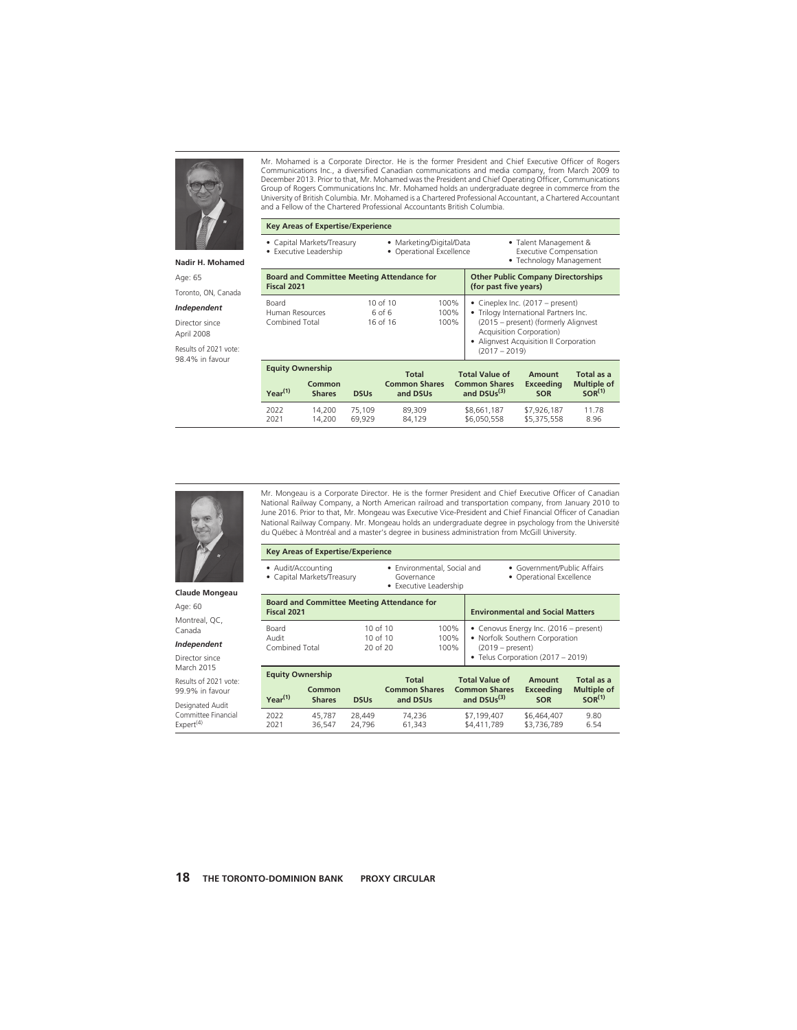

#### **Nadir H. Mohamed**

Age: 65

Toronto, ON, Canada

#### *Independent*

Director since April 2008

Results of 2021 vote: 98.4% in favour

Mr. Mohamed is a Corporate Director. He is the former President and Chief Executive Officer of Rogers Communications Inc., a diversified Canadian communications and media company, from March 2009 to December 2013. Prior to that, Mr. Mohamed was the President and Chief Operating Officer, Communications Group of Rogers Communications Inc. Mr. Mohamed holds an undergraduate degree in commerce from the University of British Columbia. Mr. Mohamed is a Chartered Professional Accountant, a Chartered Accountant and a Fellow of the Chartered Professional Accountants British Columbia.

### **Key Areas of Expertise/Experience**

- Capital Markets/Treasury • Executive Leadership
- Marketing/Digital/Data • Operational Excellence

• Talent Management & Executive Compensation

• Technology Management

| Fiscal 2021                                                        | <b>Board and Committee Meeting Attendance for</b>               | <b>Other Public Company Directorships</b><br>(for past five years) |                                                                |                                                                                                                                                 |                                                        |
|--------------------------------------------------------------------|-----------------------------------------------------------------|--------------------------------------------------------------------|----------------------------------------------------------------|-------------------------------------------------------------------------------------------------------------------------------------------------|--------------------------------------------------------|
| Board<br>Human Resources<br>Combined Total                         | 10 of 10<br>6 <sub>of</sub> 6<br>16 of 16                       |                                                                    | • Alignvest Acquisition II Corporation<br>$(2017 - 2019)$      | • Cineplex Inc. $(2017 - present)$<br>. Trilogy International Partners Inc.<br>(2015 – present) (formerly Alignyest<br>Acquisition Corporation) |                                                        |
| <b>Equity Ownership</b><br>Common<br>$Year^{(1)}$<br><b>Shares</b> | <b>Total</b><br><b>Common Shares</b><br>and DSUs<br><b>DSUs</b> |                                                                    | <b>Total Value of</b><br><b>Common Shares</b><br>and $DSUs(3)$ | Amount<br><b>Exceeding</b><br><b>SOR</b>                                                                                                        | Total as a<br><b>Multiple of</b><br>SOR <sup>(1)</sup> |

2022 14,200 75,109 89,309 \$8,661,187 \$7,926,187 11.78

2021 14,200 69,929 84,129 \$6,050,558 \$5,375,558 8.96

• Telus Corporation (2017 – 2019)



**Claude Mongeau**

Age: 60 Montreal, QC, Canada

#### *Independent*

Director since March 2015

Results of 2021 vote: 99.9% in favour

Designated Audit Committee Financial  $Expert^{(4)}$ 

Mr. Mongeau is a Corporate Director. He is the former President and Chief Executive Officer of Canadian National Railway Company, a North American railroad and transportation company, from January 2010 to June 2016. Prior to that, Mr. Mongeau was Executive Vice-President and Chief Financial Officer of Canadian National Railway Company. Mr. Mongeau holds an undergraduate degree in psychology from the Université du Québec à Montréal and a master's degree in business administration from McGill University.

| <b>Key Areas of Expertise/Experience</b>                         |                                                                     |                                                         |                                                                                                |  |  |  |  |  |  |
|------------------------------------------------------------------|---------------------------------------------------------------------|---------------------------------------------------------|------------------------------------------------------------------------------------------------|--|--|--|--|--|--|
| • Audit/Accounting<br>• Capital Markets/Treasury                 | • Environmental, Social and<br>Governance<br>• Executive Leadership | • Government/Public Affairs<br>• Operational Excellence |                                                                                                |  |  |  |  |  |  |
| <b>Board and Committee Meeting Attendance for</b><br>Fiscal 2021 |                                                                     | <b>Environmental and Social Matters</b>                 |                                                                                                |  |  |  |  |  |  |
| Board<br>Audit<br>Combined Total                                 | 10 of 10<br>10 of 10<br>20 of 20                                    | 100%<br>100%<br>100%                                    | • Cenovus Energy Inc. (2016 - present)<br>• Norfolk Southern Corporation<br>$(2019 - present)$ |  |  |  |  |  |  |

| <b>Equity Ownership</b> |                                        |                  | <b>Total</b>                     | <b>Total Value of</b>                           | Amount                     | Total as a                               |  |
|-------------------------|----------------------------------------|------------------|----------------------------------|-------------------------------------------------|----------------------------|------------------------------------------|--|
| Year <sup>(1)</sup>     | Common<br><b>Shares</b><br><b>DSUs</b> |                  | <b>Common Shares</b><br>and DSUs | <b>Common Shares</b><br>and DSUs <sup>(3)</sup> | Exceeding<br><b>SOR</b>    | <b>Multiple of</b><br>SOR <sup>(1)</sup> |  |
| 2022<br>2021            | 45.787<br>36.547                       | 28.449<br>24.796 | 74.236<br>61.343                 | \$7,199,407<br>\$4,411,789                      | \$6,464,407<br>\$3,736,789 | 9.80<br>6.54                             |  |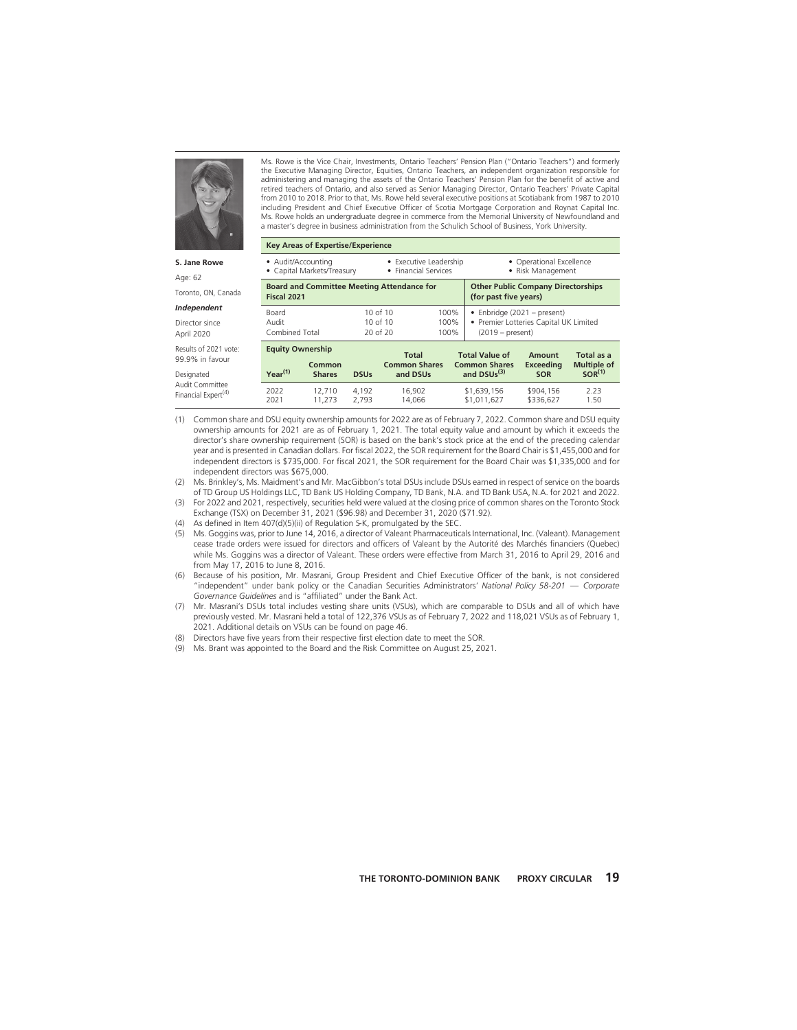

**S. Jane Rowe**

Age: 62

Toronto, ON, Canada

*Independent*

Director since April 2020

Results of 2021 vote: 99.9% in favour

Designated Audit Committee Financial Expert<sup>(4)</sup> Ms. Rowe is the Vice Chair, Investments, Ontario Teachers' Pension Plan ("Ontario Teachers") and formerly the Executive Managing Director, Equities, Ontario Teachers, an independent organization responsible for administering and managing the assets of the Ontario Teachers' Pension Plan for the benefit of active and retired teachers of Ontario, and also served as Senior Managing Director, Ontario Teachers' Private Capital from 2010 to 2018. Prior to that, Ms. Rowe held several executive positions at Scotiabank from 1987 to 2010 including President and Chief Executive Officer of Scotia Mortgage Corporation and Roynat Capital Inc. Ms. Rowe holds an undergraduate degree in commerce from the Memorial University of Newfoundland and a master's degree in business administration from the Schulich School of Business, York University.

| <b>Key Areas of Expertise/Experience</b>                                                 |                                                                                    |                                           |                                                                    |                                                                |                                                                                               |                                                        |              |  |  |
|------------------------------------------------------------------------------------------|------------------------------------------------------------------------------------|-------------------------------------------|--------------------------------------------------------------------|----------------------------------------------------------------|-----------------------------------------------------------------------------------------------|--------------------------------------------------------|--------------|--|--|
|                                                                                          | • Audit/Accounting<br>• Capital Markets/Treasury                                   |                                           | • Executive Leadership<br>• Financial Services                     |                                                                | • Operational Excellence<br>• Risk Management                                                 |                                                        |              |  |  |
| Fiscal 2021                                                                              | <b>Board and Committee Meeting Attendance for</b>                                  |                                           | <b>Other Public Company Directorships</b><br>(for past five years) |                                                                |                                                                                               |                                                        |              |  |  |
| Board<br>Audit                                                                           | $10$ of $10$<br>100%<br>$10$ of $10$<br>100%<br>20 of 20<br>Combined Total<br>100% |                                           |                                                                    |                                                                | • Enbridge $(2021 - present)$<br>• Premier Lotteries Capital UK Limited<br>$(2019 - present)$ |                                                        |              |  |  |
| <b>Equity Ownership</b><br>Common<br>Year <sup>(1)</sup><br><b>Shares</b><br><b>DSUs</b> |                                                                                    | Total<br><b>Common Shares</b><br>and DSUs |                                                                    | <b>Total Value of</b><br><b>Common Shares</b><br>and $DSUs(3)$ | Amount<br><b>Exceeding</b><br><b>SOR</b>                                                      | Total as a<br><b>Multiple of</b><br>SOR <sup>(1)</sup> |              |  |  |
| 2022<br>2021                                                                             | 12.710<br>11.273                                                                   | 4.192<br>2.793                            | 16.902<br>14.066                                                   |                                                                | \$1,639,156<br>\$1.011.627                                                                    | \$904.156<br>\$336.627                                 | 2.23<br>1.50 |  |  |

- (1) Common share and DSU equity ownership amounts for 2022 are as of February 7, 2022. Common share and DSU equity ownership amounts for 2021 are as of February 1, 2021. The total equity value and amount by which it exceeds the director's share ownership requirement (SOR) is based on the bank's stock price at the end of the preceding calendar year and is presented in Canadian dollars. For fiscal 2022, the SOR requirement for the Board Chair is \$1,455,000 and for independent directors is \$735,000. For fiscal 2021, the SOR requirement for the Board Chair was \$1,335,000 and for independent directors was \$675,000.
- (2) Ms. Brinkley's, Ms. Maidment's and Mr. MacGibbon's total DSUs include DSUs earned in respect of service on the boards of TD Group US Holdings LLC, TD Bank US Holding Company, TD Bank, N.A. and TD Bank USA, N.A. for 2021 and 2022.
- (3) For 2022 and 2021, respectively, securities held were valued at the closing price of common shares on the Toronto Stock Exchange (TSX) on December 31, 2021 (\$96.98) and December 31, 2020 (\$71.92).
- (4) As defined in Item 407(d)(5)(ii) of Regulation S-K, promulgated by the SEC.
- (5) Ms. Goggins was, prior to June 14, 2016, a director of Valeant Pharmaceuticals International, Inc. (Valeant). Management cease trade orders were issued for directors and officers of Valeant by the Autorité des Marchés financiers (Quebec) while Ms. Goggins was a director of Valeant. These orders were effective from March 31, 2016 to April 29, 2016 and from May 17, 2016 to June 8, 2016.
- (6) Because of his position, Mr. Masrani, Group President and Chief Executive Officer of the bank, is not considered "independent" under bank policy or the Canadian Securities Administrators' *National Policy 58-201 — Corporate Governance Guidelines* and is "affiliated" under the Bank Act.
- (7) Mr. Masrani's DSUs total includes vesting share units (VSUs), which are comparable to DSUs and all of which have previously vested. Mr. Masrani held a total of 122,376 VSUs as of February 7, 2022 and 118,021 VSUs as of February 1, 2021. Additional details on VSUs can be found on page 46.
- (8) Directors have five years from their respective first election date to meet the SOR.
- (9) Ms. Brant was appointed to the Board and the Risk Committee on August 25, 2021.